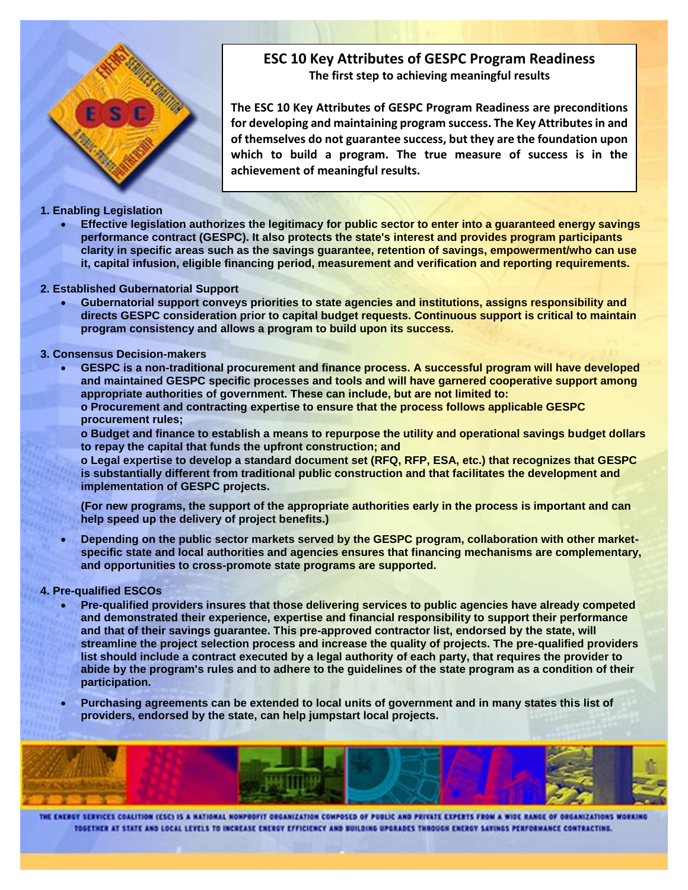

# **ESC 10 Key Attributes of GESPC Program Readiness The first step to achieving meaningful results**

**The ESC 10 Key Attributes of GESPC Program Readiness are preconditions for developing and maintaining program success. The Key Attributes in and of themselves do not guarantee success, but they are the foundation upon which to build a program. The true measure of success is in the achievement of meaningful results.**

## **1. Enabling Legislation**

 **Effective legislation authorizes the legitimacy for public sector to enter into a guaranteed energy savings performance contract (GESPC). It also protects the state's interest and provides program participants clarity in specific areas such as the savings guarantee, retention of savings, empowerment/who can use it, capital infusion, eligible financing period, measurement and verification and reporting requirements.** 

### **2. Established Gubernatorial Support**

 **Gubernatorial support conveys priorities to state agencies and institutions, assigns responsibility and directs GESPC consideration prior to capital budget requests. Continuous support is critical to maintain program consistency and allows a program to build upon its success.** 

## **3. Consensus Decision-makers**

 **GESPC is a non-traditional procurement and finance process. A successful program will have developed and maintained GESPC specific processes and tools and will have garnered cooperative support among appropriate authorities of government. These can include, but are not limited to: o Procurement and contracting expertise to ensure that the process follows applicable GESPC procurement rules;** 

**o Budget and finance to establish a means to repurpose the utility and operational savings budget dollars to repay the capital that funds the upfront construction; and** 

**o Legal expertise to develop a standard document set (RFQ, RFP, ESA, etc.) that recognizes that GESPC is substantially different from traditional public construction and that facilitates the development and implementation of GESPC projects.**

**(For new programs, the support of the appropriate authorities early in the process is important and can help speed up the delivery of project benefits.)**

 **Depending on the public sector markets served by the GESPC program, collaboration with other marketspecific state and local authorities and agencies ensures that financing mechanisms are complementary, and opportunities to cross-promote state programs are supported.** 

## **4. Pre-qualified ESCOs**

- **Pre-qualified providers insures that those delivering services to public agencies have already competed and demonstrated their experience, expertise and financial responsibility to support their performance and that of their savings guarantee. This pre-approved contractor list, endorsed by the state, will streamline the project selection process and increase the quality of projects. The pre-qualified providers list should include a contract executed by a legal authority of each party, that requires the provider to abide by the program's rules and to adhere to the guidelines of the state program as a condition of their participation.**
- **Purchasing agreements can be extended to local units of government and in many states this list of providers, endorsed by the state, can help jumpstart local projects.**

THE ENERGY SERVICES COALITION (ESC) IS A NATIONAL NONPROFIT ORGANIZATION COMPOSED OF PUBLIC AND PRIVATE EXPERTS FROM A WIDE RANGE OF ORGANIZATIONS WORKING TOGETHER AT STATE AND LOCAL LEVELS TO INCREASE ENERGY EFFICIENCY AND BUILDING UPGRADES THROUGH ENERGY SAVINGS PERFORMANCE CONTRACTING.